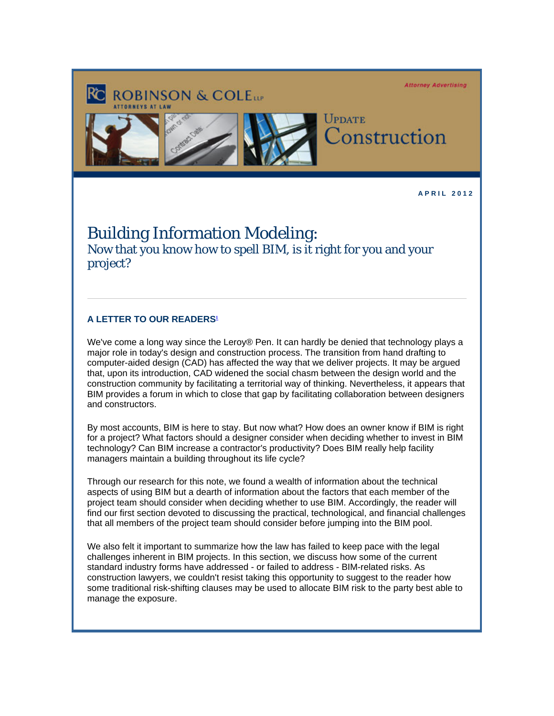**Attorney Advertising** 





**ROBINSON & COLEtte** 

UPDATE Construction

**A P R I L 2 0 1 2** 

## Building Information Modeling:

Now that you know how to spell BIM, is it right for you and your project?

## **A LETTER TO OUR READERS<sup>1</sup>**

We've come a long way since the Leroy® Pen. It can hardly be denied that technology plays a major role in today's design and construction process. The transition from hand drafting to computer-aided design (CAD) has affected the way that we deliver projects. It may be argued that, upon its introduction, CAD widened the social chasm between the design world and the construction community by facilitating a territorial way of thinking. Nevertheless, it appears that BIM provides a forum in which to close that gap by facilitating collaboration between designers and constructors.

By most accounts, BIM is here to stay. But now what? How does an owner know if BIM is right for a project? What factors should a designer consider when deciding whether to invest in BIM technology? Can BIM increase a contractor's productivity? Does BIM really help facility managers maintain a building throughout its life cycle?

Through our research for this note, we found a wealth of information about the technical aspects of using BIM but a dearth of information about the factors that each member of the project team should consider when deciding whether to use BIM. Accordingly, the reader will find our first section devoted to discussing the practical, technological, and financial challenges that all members of the project team should consider before jumping into the BIM pool.

We also felt it important to summarize how the law has failed to keep pace with the legal challenges inherent in BIM projects. In this section, we discuss how some of the current standard industry forms have addressed - or failed to address - BIM-related risks. As construction lawyers, we couldn't resist taking this opportunity to suggest to the reader how some traditional risk-shifting clauses may be used to allocate BIM risk to the party best able to manage the exposure.